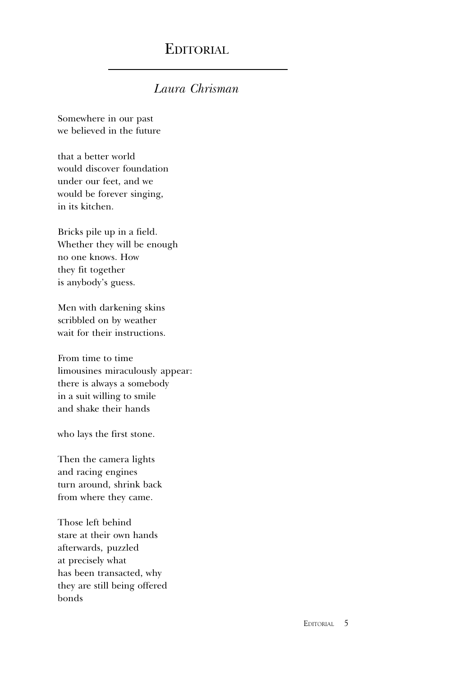## EDITORIAL

## Laura Chrisman

Somewhere in our past we believed in the future

that a better world would discover foundation under our feet, and we would be forever singing, in its kitchen.

Bricks pile up in a field. Whether they will be enough no one knows. How they fit together is anybody's guess.

Men with darkening skins scribbled on by weather wait for their instructions.

From time to time limousines miraculously appear: there is always a somebody in a suit willing to smile and shake their hands

who lays the first stone.

Then the camera lights and racing engines turn around, shrink back from where they came.

Those left behind stare at their own hands afterwards, puzzled at precisely what has been transacted, why they are still being offered bonds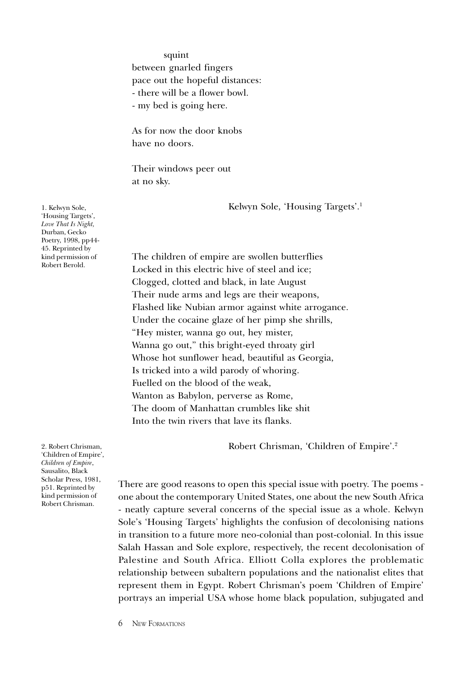squint between gnarled fingers pace out the hopeful distances: - there will be a flower bowl. - my bed is going here.

As for now the door knobs have no doors.

Their windows peer out at no sky.

Kelwyn Sole, 'Housing Targets'.<sup>1</sup>

The children of empire are swollen butterflies Locked in this electric hive of steel and ice; Clogged, clotted and black, in late August Their nude arms and legs are their weapons, Flashed like Nubian armor against white arrogance. Under the cocaine glaze of her pimp she shrills, Hey mister, wanna go out, hey mister, Wanna go out," this bright-eyed throaty girl Whose hot sunflower head, beautiful as Georgia, Is tricked into a wild parody of whoring. Fuelled on the blood of the weak, Wanton as Babylon, perverse as Rome, The doom of Manhattan crumbles like shit Into the twin rivers that lave its flanks.

Robert Chrisman, 'Children of Empire'.<sup>2</sup>

There are good reasons to open this special issue with poetry. The poems one about the contemporary United States, one about the new South Africa - neatly capture several concerns of the special issue as a whole. Kelwyn Sole's 'Housing Targets' highlights the confusion of decolonising nations in transition to a future more neo-colonial than post-colonial. In this issue Salah Hassan and Sole explore, respectively, the recent decolonisation of Palestine and South Africa. Elliott Colla explores the problematic relationship between subaltern populations and the nationalist elites that represent them in Egypt. Robert Chrisman's poem 'Children of Empire' portrays an imperial USA whose home black population, subjugated and

1. Kelwyn Sole, 'Housing Targets', Love That Is Night, Durban, Gecko Poetry, 1998, pp44- 45. Reprinted by kind permission of Robert Berold.

2. Robert Chrisman, 'Children of Empire', Children of Empire, Sausalito, Black Scholar Press, 1981, p51. Reprinted by kind permission of Robert Chrisman.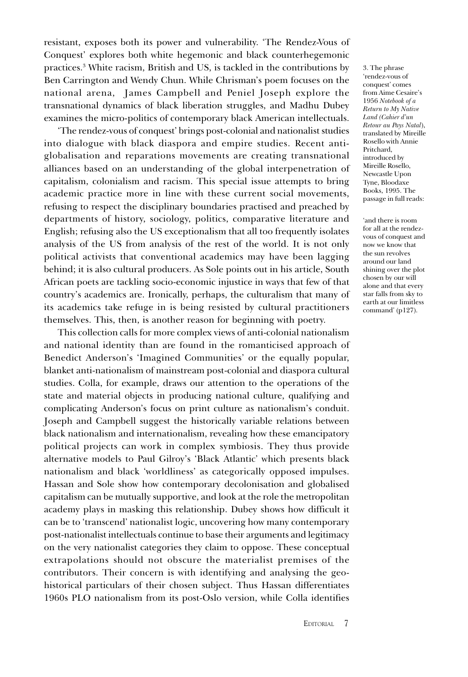resistant, exposes both its power and vulnerability. The Rendez-Vous of Conquest' explores both white hegemonic and black counterhegemonic practices.3 White racism, British and US, is tackled in the contributions by Ben Carrington and Wendy Chun. While Chrisman's poem focuses on the national arena, James Campbell and Peniel Joseph explore the transnational dynamics of black liberation struggles, and Madhu Dubey examines the micro-politics of contemporary black American intellectuals.

'The rendez-vous of conquest' brings post-colonial and nationalist studies into dialogue with black diaspora and empire studies. Recent antiglobalisation and reparations movements are creating transnational alliances based on an understanding of the global interpenetration of capitalism, colonialism and racism. This special issue attempts to bring academic practice more in line with these current social movements, refusing to respect the disciplinary boundaries practised and preached by departments of history, sociology, politics, comparative literature and English; refusing also the US exceptionalism that all too frequently isolates analysis of the US from analysis of the rest of the world. It is not only political activists that conventional academics may have been lagging behind; it is also cultural producers. As Sole points out in his article, South African poets are tackling socio-economic injustice in ways that few of that countrys academics are. Ironically, perhaps, the culturalism that many of its academics take refuge in is being resisted by cultural practitioners themselves. This, then, is another reason for beginning with poetry.

This collection calls for more complex views of anti-colonial nationalism and national identity than are found in the romanticised approach of Benedict Anderson's 'Imagined Communities' or the equally popular, blanket anti-nationalism of mainstream post-colonial and diaspora cultural studies. Colla, for example, draws our attention to the operations of the state and material objects in producing national culture, qualifying and complicating Anderson's focus on print culture as nationalism's conduit. Joseph and Campbell suggest the historically variable relations between black nationalism and internationalism, revealing how these emancipatory political projects can work in complex symbiosis. They thus provide alternative models to Paul Gilroy's 'Black Atlantic' which presents black nationalism and black 'worldliness' as categorically opposed impulses. Hassan and Sole show how contemporary decolonisation and globalised capitalism can be mutually supportive, and look at the role the metropolitan academy plays in masking this relationship. Dubey shows how difficult it can be to 'transcend' nationalist logic, uncovering how many contemporary post-nationalist intellectuals continue to base their arguments and legitimacy on the very nationalist categories they claim to oppose. These conceptual extrapolations should not obscure the materialist premises of the contributors. Their concern is with identifying and analysing the geohistorical particulars of their chosen subject. Thus Hassan differentiates 1960s PLO nationalism from its post-Oslo version, while Colla identifies

3. The phrase rendez-vous of conquest' comes from Aime Cesaire's 1956 Notebook of a Return to My Native Land (Cahier d'un Retour au Pays Natal), translated by Mireille Rosello with Annie Pritchard, introduced by Mireille Rosello, Newcastle Upon Tyne, Bloodaxe Books, 1995. The passage in full reads:

and there is room for all at the rendezvous of conquest and now we know that the sun revolves around our land shining over the plot chosen by our will alone and that every star falls from sky to earth at our limitless command'  $(p127)$ .